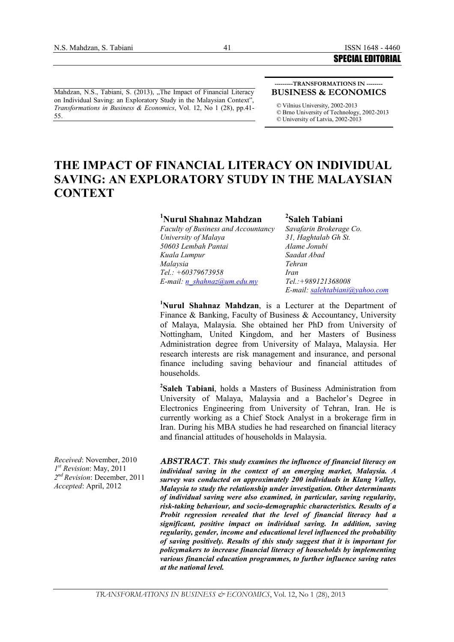Mahdzan, N.S., Tabiani, S. (2013), "The Impact of Financial Literacy on Individual Saving: an Exploratory Study in the Malaysian Context", *Transformations in Business & Economics*, Vol. 12, No 1 (28), pp.41- 55.

#### **---------TRANSFORMATIONS IN -------- BUSINESS & ECONOMICS**

*©* Vilnius University, 2002-2013 *©* Brno University of Technology, 2002-2013 *©* University of Latvia, 2002-2013

# **THE IMPACT OF FINANCIAL LITERACY ON INDIVIDUAL SAVING: AN EXPLORATORY STUDY IN THE MALAYSIAN CONTEXT**

#### **<sup>1</sup>Nurul Shahnaz Mahdzan**

*Faculty of Business and Accountancy University of Malaya 50603 Lembah Pantai Kuala Lumpur Malaysia Tel.: +60379673958 E-mail: [n\\_shahnaz@um.edu.my](mailto:n_shahnaz@um.edu.my)*

**2 Saleh Tabiani** *Savafarin Brokerage Co. 31, Haghtalab Gh St. Alame Jonubi Saadat Abad Tehran Iran Tel.:+989121368008 E-mail: [salehtabiani@yahoo.com](mailto:salehtabiani@yahoo.com)*

**<sup>1</sup>Nurul Shahnaz Mahdzan**, is a Lecturer at the Department of Finance & Banking, Faculty of Business & Accountancy, University of Malaya, Malaysia. She obtained her PhD from University of Nottingham, United Kingdom, and her Masters of Business Administration degree from University of Malaya, Malaysia. Her research interests are risk management and insurance, and personal finance including saving behaviour and financial attitudes of households.

**2 Saleh Tabiani**, holds a Masters of Business Administration from University of Malaya, Malaysia and a Bachelor's Degree in Electronics Engineering from University of Tehran, Iran. He is currently working as a Chief Stock Analyst in a brokerage firm in Iran. During his MBA studies he had researched on financial literacy and financial attitudes of households in Malaysia.

*Received*: November, 2010 *1 st Revision*: May, 2011 *2 nd Revision*: December, 2011 *Accepted*: April, 2012

*ABSTRACT*. *This study examines the influence of financial literacy on individual saving in the context of an emerging market, Malaysia. A survey was conducted on approximately 200 individuals in Klang Valley, Malaysia to study the relationship under investigation. Other determinants of individual saving were also examined, in particular, saving regularity, risk-taking behaviour, and socio-demographic characteristics. Results of a Probit regression revealed that the level of financial literacy had a significant, positive impact on individual saving. In addition, saving regularity, gender, income and educational level influenced the probability of saving positively. Results of this study suggest that it is important for policymakers to increase financial literacy of households by implementing various financial education programmes, to further influence saving rates at the national level.*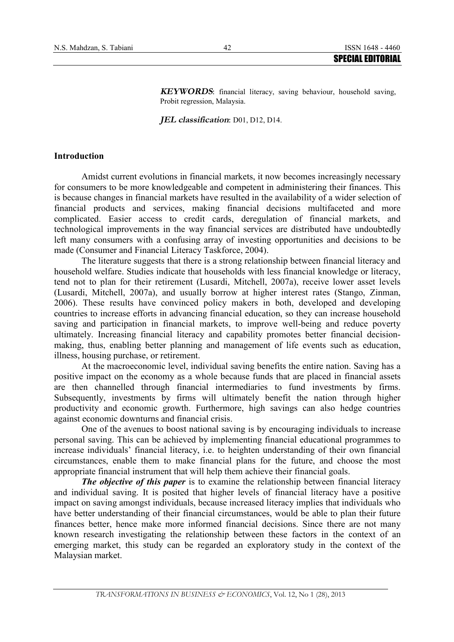*KEYWORDS*: financial literacy, saving behaviour, household saving, Probit regression, Malaysia.

*JEL classification*: D01, D12, D14.

#### **Introduction**

Amidst current evolutions in financial markets, it now becomes increasingly necessary for consumers to be more knowledgeable and competent in administering their finances. This is because changes in financial markets have resulted in the availability of a wider selection of financial products and services, making financial decisions multifaceted and more complicated. Easier access to credit cards, deregulation of financial markets, and technological improvements in the way financial services are distributed have undoubtedly left many consumers with a confusing array of investing opportunities and decisions to be made (Consumer and Financial Literacy Taskforce, 2004).

The literature suggests that there is a strong relationship between financial literacy and household welfare. Studies indicate that households with less financial knowledge or literacy, tend not to plan for their retirement (Lusardi, Mitchell, 2007a), receive lower asset levels (Lusardi, Mitchell, 2007a), and usually borrow at higher interest rates (Stango, Zinman, 2006). These results have convinced policy makers in both, developed and developing countries to increase efforts in advancing financial education, so they can increase household saving and participation in financial markets, to improve well-being and reduce poverty ultimately. Increasing financial literacy and capability promotes better financial decisionmaking, thus, enabling better planning and management of life events such as education, illness, housing purchase, or retirement.

At the macroeconomic level, individual saving benefits the entire nation. Saving has a positive impact on the economy as a whole because funds that are placed in financial assets are then channelled through financial intermediaries to fund investments by firms. Subsequently, investments by firms will ultimately benefit the nation through higher productivity and economic growth. Furthermore, high savings can also hedge countries against economic downturns and financial crisis.

One of the avenues to boost national saving is by encouraging individuals to increase personal saving. This can be achieved by implementing financial educational programmes to increase individuals' financial literacy, i.e. to heighten understanding of their own financial circumstances, enable them to make financial plans for the future, and choose the most appropriate financial instrument that will help them achieve their financial goals.

*The objective of this paper* is to examine the relationship between financial literacy and individual saving. It is posited that higher levels of financial literacy have a positive impact on saving amongst individuals, because increased literacy implies that individuals who have better understanding of their financial circumstances, would be able to plan their future finances better, hence make more informed financial decisions. Since there are not many known research investigating the relationship between these factors in the context of an emerging market, this study can be regarded an exploratory study in the context of the Malaysian market.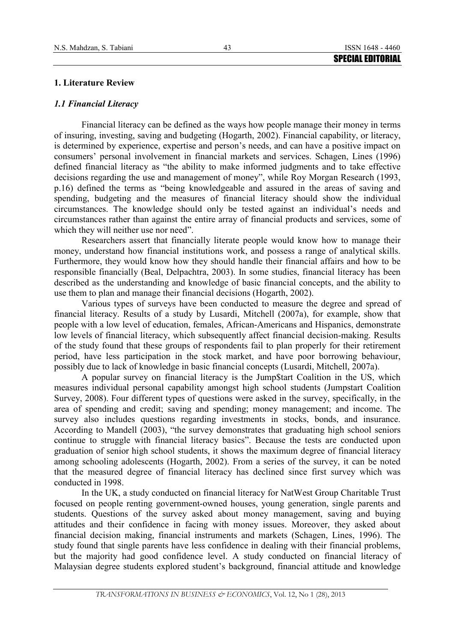#### 43

#### **1. Literature Review**

#### *1.1 Financial Literacy*

Financial literacy can be defined as the ways how people manage their money in terms of insuring, investing, saving and budgeting (Hogarth, 2002). Financial capability, or literacy, is determined by experience, expertise and person's needs, and can have a positive impact on consumers' personal involvement in financial markets and services. Schagen, Lines (1996) defined financial literacy as "the ability to make informed judgments and to take effective decisions regarding the use and management of money", while Roy Morgan Research (1993, p.16) defined the terms as "being knowledgeable and assured in the areas of saving and spending, budgeting and the measures of financial literacy should show the individual circumstances. The knowledge should only be tested against an individual's needs and circumstances rather than against the entire array of financial products and services, some of which they will neither use nor need".

Researchers assert that financially literate people would know how to manage their money, understand how financial institutions work, and possess a range of analytical skills. Furthermore, they would know how they should handle their financial affairs and how to be responsible financially (Beal, Delpachtra, 2003). In some studies, financial literacy has been described as the understanding and knowledge of basic financial concepts, and the ability to use them to plan and manage their financial decisions (Hogarth, 2002).

Various types of surveys have been conducted to measure the degree and spread of financial literacy. Results of a study by Lusardi, Mitchell (2007a), for example, show that people with a low level of education, females, African-Americans and Hispanics, demonstrate low levels of financial literacy, which subsequently affect financial decision-making. Results of the study found that these groups of respondents fail to plan properly for their retirement period, have less participation in the stock market, and have poor borrowing behaviour, possibly due to lack of knowledge in basic financial concepts (Lusardi, Mitchell, 2007a).

A popular survey on financial literacy is the Jump\$tart Coalition in the US, which measures individual personal capability amongst high school students (Jumpstart Coalition Survey, 2008). Four different types of questions were asked in the survey, specifically, in the area of spending and credit; saving and spending; money management; and income. The survey also includes questions regarding investments in stocks, bonds, and insurance. According to Mandell (2003), "the survey demonstrates that graduating high school seniors continue to struggle with financial literacy basics". Because the tests are conducted upon graduation of senior high school students, it shows the maximum degree of financial literacy among schooling adolescents (Hogarth, 2002). From a series of the survey, it can be noted that the measured degree of financial literacy has declined since first survey which was conducted in 1998.

In the UK, a study conducted on financial literacy for NatWest Group Charitable Trust focused on people renting government-owned houses, young generation, single parents and students. Questions of the survey asked about money management, saving and buying attitudes and their confidence in facing with money issues. Moreover, they asked about financial decision making, financial instruments and markets (Schagen, Lines, 1996). The study found that single parents have less confidence in dealing with their financial problems, but the majority had good confidence level. A study conducted on financial literacy of Malaysian degree students explored student's background, financial attitude and knowledge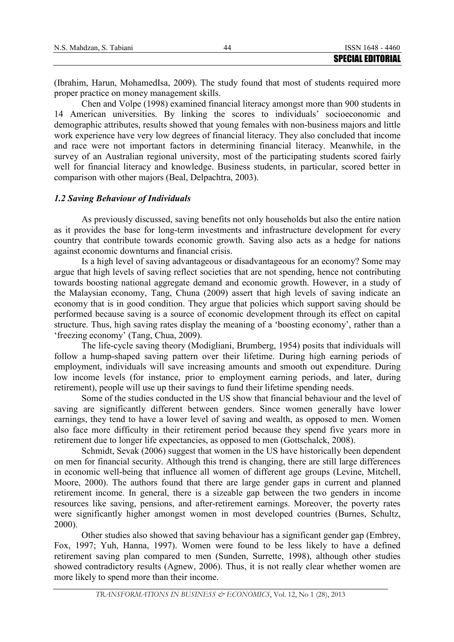|                          | <b>SPECIAL EDITORIAL</b> |
|--------------------------|--------------------------|
| N.S. Mahdzan, S. Tabiani | ISSN 1648 - 4460         |

(Ibrahim, Harun, MohamedIsa, 2009). The study found that most of students required more proper practice on money management skills.

Chen and Volpe (1998) examined financial literacy amongst more than 900 students in 14 American universities. By linking the scores to individuals' socioeconomic and demographic attributes, results showed that young females with non-business majors and little work experience have very low degrees of financial literacy. They also concluded that income and race were not important factors in determining financial literacy. Meanwhile, in the survey of an Australian regional university, most of the participating students scored fairly well for financial literacy and knowledge. Business students, in particular, scored better in comparison with other majors (Beal, Delpachtra, 2003).

### *1.2 Saving Behaviour of Individuals*

As previously discussed, saving benefits not only households but also the entire nation as it provides the base for long-term investments and infrastructure development for every country that contribute towards economic growth. Saving also acts as a hedge for nations against economic downturns and financial crisis.

Is a high level of saving advantageous or disadvantageous for an economy? Some may argue that high levels of saving reflect societies that are not spending, hence not contributing towards boosting national aggregate demand and economic growth. However, in a study of the Malaysian economy, Tang, Chuna (2009) assert that high levels of saving indicate an economy that is in good condition. They argue that policies which support saving should be performed because saving is a source of economic development through its effect on capital structure. Thus, high saving rates display the meaning of a 'boosting economy', rather than a 'freezing economy' (Tang, Chua, 2009).

The life-cycle saving theory (Modigliani, Brumberg, 1954) posits that individuals will follow a hump-shaped saving pattern over their lifetime. During high earning periods of employment, individuals will save increasing amounts and smooth out expenditure. During low income levels (for instance, prior to employment earning periods, and later, during retirement), people will use up their savings to fund their lifetime spending needs.

Some of the studies conducted in the US show that financial behaviour and the level of saving are significantly different between genders. Since women generally have lower earnings, they tend to have a lower level of saving and wealth, as opposed to men. Women also face more difficulty in their retirement period because they spend five years more in retirement due to longer life expectancies, as opposed to men (Gottschalck, 2008).

Schmidt, Sevak (2006) suggest that women in the US have historically been dependent on men for financial security. Although this trend is changing, there are still large differences in economic well-being that influence all women of different age groups (Levine, Mitchell, Moore, 2000). The authors found that there are large gender gaps in current and planned retirement income. In general, there is a sizeable gap between the two genders in income resources like saving, pensions, and after-retirement earnings. Moreover, the poverty rates were significantly higher amongst women in most developed countries (Burnes, Schultz, 2000).

Other studies also showed that saving behaviour has a significant gender gap (Embrey, Fox, 1997; Yuh, Hanna, 1997). Women were found to be less likely to have a defined retirement saving plan compared to men (Sunden, Surrette, 1998), although other studies showed contradictory results (Agnew, 2006). Thus, it is not really clear whether women are more likely to spend more than their income.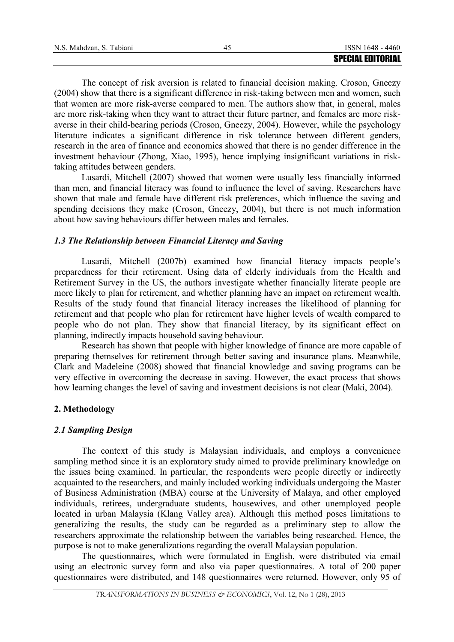|                          | <b>SPECIAL EDITORIAL</b> |
|--------------------------|--------------------------|
| N.S. Mahdzan, S. Tabiani | ISSN 1648 - 4460         |

The concept of risk aversion is related to financial decision making. Croson, Gneezy (2004) show that there is a significant difference in risk-taking between men and women, such that women are more risk-averse compared to men. The authors show that, in general, males are more risk-taking when they want to attract their future partner, and females are more riskaverse in their child-bearing periods (Croson, Gneezy, 2004). However, while the psychology literature indicates a significant difference in risk tolerance between different genders, research in the area of finance and economics showed that there is no gender difference in the investment behaviour (Zhong, Xiao, 1995), hence implying insignificant variations in risktaking attitudes between genders.

Lusardi, Mitchell (2007) showed that women were usually less financially informed than men, and financial literacy was found to influence the level of saving. Researchers have shown that male and female have different risk preferences, which influence the saving and spending decisions they make (Croson, Gneezy, 2004), but there is not much information about how saving behaviours differ between males and females.

### *1.3 The Relationship between Financial Literacy and Saving*

Lusardi, Mitchell (2007b) examined how financial literacy impacts people's preparedness for their retirement. Using data of elderly individuals from the Health and Retirement Survey in the US, the authors investigate whether financially literate people are more likely to plan for retirement, and whether planning have an impact on retirement wealth. Results of the study found that financial literacy increases the likelihood of planning for retirement and that people who plan for retirement have higher levels of wealth compared to people who do not plan. They show that financial literacy, by its significant effect on planning, indirectly impacts household saving behaviour.

Research has shown that people with higher knowledge of finance are more capable of preparing themselves for retirement through better saving and insurance plans. Meanwhile, Clark and Madeleine (2008) showed that financial knowledge and saving programs can be very effective in overcoming the decrease in saving. However, the exact process that shows how learning changes the level of saving and investment decisions is not clear (Maki, 2004).

# **2. Methodology**

# *2.1 Sampling Design*

The context of this study is Malaysian individuals, and employs a convenience sampling method since it is an exploratory study aimed to provide preliminary knowledge on the issues being examined. In particular, the respondents were people directly or indirectly acquainted to the researchers, and mainly included working individuals undergoing the Master of Business Administration (MBA) course at the University of Malaya, and other employed individuals, retirees, undergraduate students, housewives, and other unemployed people located in urban Malaysia (Klang Valley area). Although this method poses limitations to generalizing the results, the study can be regarded as a preliminary step to allow the researchers approximate the relationship between the variables being researched. Hence, the purpose is not to make generalizations regarding the overall Malaysian population.

The questionnaires, which were formulated in English, were distributed via email using an electronic survey form and also via paper questionnaires. A total of 200 paper questionnaires were distributed, and 148 questionnaires were returned. However, only 95 of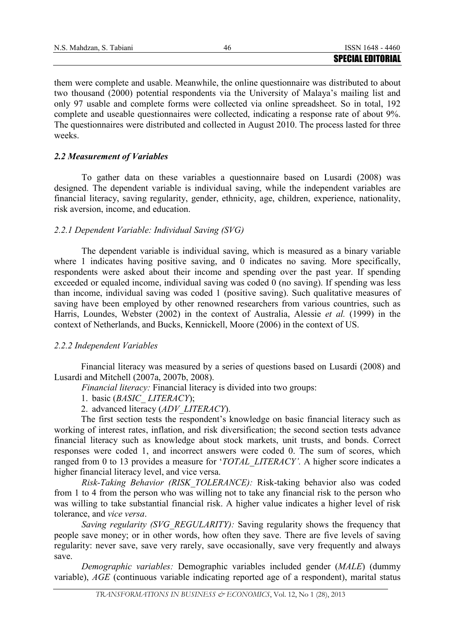| N.S. Mahdzan, S. Tabiani |                          |
|--------------------------|--------------------------|
|                          | <b>SPECIAL EDITORIAL</b> |

them were complete and usable. Meanwhile, the online questionnaire was distributed to about two thousand (2000) potential respondents via the University of Malaya's mailing list and only 97 usable and complete forms were collected via online spreadsheet. So in total, 192 complete and useable questionnaires were collected, indicating a response rate of about 9%. The questionnaires were distributed and collected in August 2010. The process lasted for three weeks.

# *2.2 Measurement of Variables*

To gather data on these variables a questionnaire based on Lusardi (2008) was designed. The dependent variable is individual saving, while the independent variables are financial literacy, saving regularity, gender, ethnicity, age, children, experience, nationality, risk aversion, income, and education.

### *2.2.1 Dependent Variable: Individual Saving (SVG)*

The dependent variable is individual saving, which is measured as a binary variable where 1 indicates having positive saving, and 0 indicates no saving. More specifically, respondents were asked about their income and spending over the past year. If spending exceeded or equaled income, individual saving was coded 0 (no saving). If spending was less than income, individual saving was coded 1 (positive saving). Such qualitative measures of saving have been employed by other renowned researchers from various countries, such as Harris, Loundes, Webster (2002) in the context of Australia, Alessie *et al.* (1999) in the context of Netherlands, and Bucks, Kennickell, Moore (2006) in the context of US.

#### *2.2.2 Independent Variables*

Financial literacy was measured by a series of questions based on Lusardi (2008) and Lusardi and Mitchell (2007a, 2007b, 2008).

*Financial literacy:* Financial literacy is divided into two groups:

1. basic (*BASIC\_ LITERACY*);

2. advanced literacy (*ADV\_LITERACY*).

The first section tests the respondent's knowledge on basic financial literacy such as working of interest rates, inflation, and risk diversification; the second section tests advance financial literacy such as knowledge about stock markets, unit trusts, and bonds. Correct responses were coded 1, and incorrect answers were coded 0. The sum of scores, which ranged from 0 to 13 provides a measure for '*TOTAL\_LITERACY'.* A higher score indicates a higher financial literacy level, and vice versa.

*Risk-Taking Behavior (RISK\_TOLERANCE):* Risk-taking behavior also was coded from 1 to 4 from the person who was willing not to take any financial risk to the person who was willing to take substantial financial risk. A higher value indicates a higher level of risk tolerance, and *vice versa*.

*Saving regularity (SVG\_REGULARITY):* Saving regularity shows the frequency that people save money; or in other words, how often they save. There are five levels of saving regularity: never save, save very rarely, save occasionally, save very frequently and always save.

*Demographic variables:* Demographic variables included gender (*MALE*) (dummy variable), *AGE* (continuous variable indicating reported age of a respondent), marital status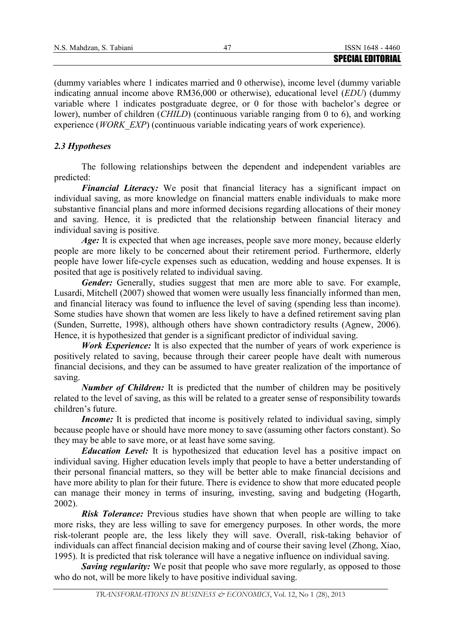(dummy variables where 1 indicates married and 0 otherwise), income level (dummy variable indicating annual income above RM36,000 or otherwise), educational level (*EDU*) (dummy variable where 1 indicates postgraduate degree, or 0 for those with bachelor's degree or lower), number of children (*CHILD*) (continuous variable ranging from 0 to 6), and working experience (*WORK\_EXP*) (continuous variable indicating years of work experience).

# *2.3 Hypotheses*

The following relationships between the dependent and independent variables are predicted:

*Financial Literac***y***:* We posit that financial literacy has a significant impact on individual saving, as more knowledge on financial matters enable individuals to make more substantive financial plans and more informed decisions regarding allocations of their money and saving. Hence, it is predicted that the relationship between financial literacy and individual saving is positive.

Age: It is expected that when age increases, people save more money, because elderly people are more likely to be concerned about their retirement period. Furthermore, elderly people have lower life-cycle expenses such as education, wedding and house expenses. It is posited that age is positively related to individual saving.

*Gender:* Generally, studies suggest that men are more able to save. For example, Lusardi, Mitchell (2007) showed that women were usually less financially informed than men, and financial literacy was found to influence the level of saving (spending less than income). Some studies have shown that women are less likely to have a defined retirement saving plan (Sunden, Surrette, 1998), although others have shown contradictory results (Agnew, 2006). Hence, it is hypothesized that gender is a significant predictor of individual saving.

*Work Experience:* It is also expected that the number of years of work experience is positively related to saving, because through their career people have dealt with numerous financial decisions, and they can be assumed to have greater realization of the importance of saving.

*Number of Children:* It is predicted that the number of children may be positively related to the level of saving, as this will be related to a greater sense of responsibility towards children's future.

*Income:* It is predicted that income is positively related to individual saving, simply because people have or should have more money to save (assuming other factors constant). So they may be able to save more, or at least have some saving.

*Education Level:* It is hypothesized that education level has a positive impact on individual saving. Higher education levels imply that people to have a better understanding of their personal financial matters, so they will be better able to make financial decisions and have more ability to plan for their future. There is evidence to show that more educated people can manage their money in terms of insuring, investing, saving and budgeting (Hogarth, 2002).

*Risk Tolerance:* Previous studies have shown that when people are willing to take more risks, they are less willing to save for emergency purposes. In other words, the more risk-tolerant people are, the less likely they will save. Overall, risk-taking behavior of individuals can affect financial decision making and of course their saving level (Zhong, Xiao, 1995). It is predicted that risk tolerance will have a negative influence on individual saving.

*Saving regularity:* We posit that people who save more regularly, as opposed to those who do not, will be more likely to have positive individual saving.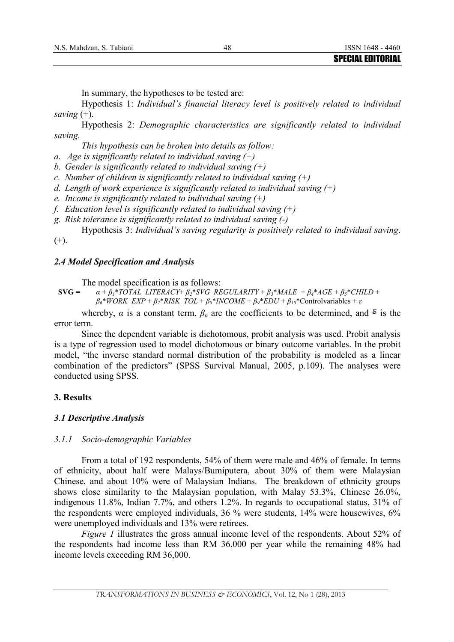In summary, the hypotheses to be tested are:

Hypothesis 1: *Individual's financial literacy level is positively related to individual saving* (+).

Hypothesis 2: *Demographic characteristics are significantly related to individual saving.* 

*This hypothesis can be broken into details as follow:* 

*a. Age is significantly related to individual saving (+)* 

*b. Gender is significantly related to individual saving (+)* 

*c. Number of children is significantly related to individual saving (+)* 

*d. Length of work experience is significantly related to individual saving (+)* 

*e. Income is significantly related to individual saving (+)* 

*f. Education level is significantly related to individual saving (+)* 

*g. Risk tolerance is significantly related to individual saving (-)* 

Hypothesis 3: *Individual's saving regularity is positively related to individual saving*.

 $(+)$ .

#### *2.4 Model Specification and Analysis*

The model specification is as follows:

**SVG** =  $\alpha + \beta_1 * TOTAL$  LITERACY+  $\beta_2 * SVG$  REGULARITY +  $\beta_3 * MALE + \beta_4 * AGE + \beta_5 * CHILD +$  $\beta_6*WORK\_EXP + \beta_7*RISK\_TOL + \beta_8*INCOME + \beta_9*EDU + \beta_{10}*Controlvariables + \varepsilon$ 

whereby,  $\alpha$  is a constant term,  $\beta_n$  are the coefficients to be determined, and  $\epsilon$  is the error term.

Since the dependent variable is dichotomous, probit analysis was used. Probit analysis is a type of regression used to model dichotomous or binary outcome variables. In the probit model, "the inverse standard normal distribution of the probability is modeled as a linear combination of the predictors" (SPSS Survival Manual, 2005, p.109). The analyses were conducted using SPSS.

#### **3. Results**

#### *3.1 Descriptive Analysis*

#### *3.1.1 Socio-demographic Variables*

From a total of 192 respondents, 54% of them were male and 46% of female. In terms of ethnicity, about half were Malays/Bumiputera, about 30% of them were Malaysian Chinese, and about 10% were of Malaysian Indians. The breakdown of ethnicity groups shows close similarity to the Malaysian population, with Malay 53.3%, Chinese 26.0%, indigenous 11.8%, Indian 7.7%, and others 1.2%. In regards to occupational status, 31% of the respondents were employed individuals, 36 % were students, 14% were housewives, 6% were unemployed individuals and 13% were retirees.

*Figure 1* illustrates the gross annual income level of the respondents. About 52% of the respondents had income less than RM 36,000 per year while the remaining 48% had income levels exceeding RM 36,000.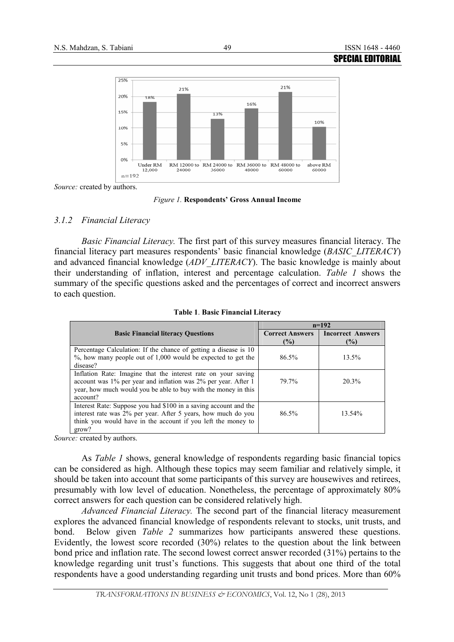

*Source:* created by authors.

*Figure 1.* **Respondents' Gross Annual Income**

#### *3.1.2 Financial Literacy*

*Basic Financial Literacy.* The first part of this survey measures financial literacy. The financial literacy part measures respondents' basic financial knowledge (*BASIC\_LITERACY*) and advanced financial knowledge (*ADV\_LITERACY*). The basic knowledge is mainly about their understanding of inflation, interest and percentage calculation. *Table 1* shows the summary of the specific questions asked and the percentages of correct and incorrect answers to each question.

|                                                                                                                                                                                                               | $n=192$                          |                                    |  |  |
|---------------------------------------------------------------------------------------------------------------------------------------------------------------------------------------------------------------|----------------------------------|------------------------------------|--|--|
| <b>Basic Financial literacy Ouestions</b>                                                                                                                                                                     | <b>Correct Answers</b><br>$($ %) | <b>Incorrect Answers</b><br>$($ %) |  |  |
| Percentage Calculation: If the chance of getting a disease is 10<br>$\%$ , how many people out of 1,000 would be expected to get the<br>disease?                                                              | 86.5%                            | $13.5\%$                           |  |  |
| Inflation Rate: Imagine that the interest rate on your saving<br>account was 1% per year and inflation was 2% per year. After 1<br>year, how much would you be able to buy with the money in this<br>account? | 79.7%                            | 20.3%                              |  |  |
| Interest Rate: Suppose you had \$100 in a saving account and the<br>interest rate was 2% per year. After 5 years, how much do you<br>think you would have in the account if you left the money to<br>grow?    | $86.5\%$                         | 13.54%                             |  |  |

**Table 1**. **Basic Financial Literacy** 

*Source:* created by authors.

As *Table 1* shows, general knowledge of respondents regarding basic financial topics can be considered as high. Although these topics may seem familiar and relatively simple, it should be taken into account that some participants of this survey are housewives and retirees, presumably with low level of education. Nonetheless, the percentage of approximately 80% correct answers for each question can be considered relatively high.

*Advanced Financial Literacy.* The second part of the financial literacy measurement explores the advanced financial knowledge of respondents relevant to stocks, unit trusts, and bond. Below given *Table 2* summarizes how participants answered these questions. Evidently, the lowest score recorded (30%) relates to the question about the link between bond price and inflation rate. The second lowest correct answer recorded (31%) pertains to the knowledge regarding unit trust's functions. This suggests that about one third of the total respondents have a good understanding regarding unit trusts and bond prices. More than 60%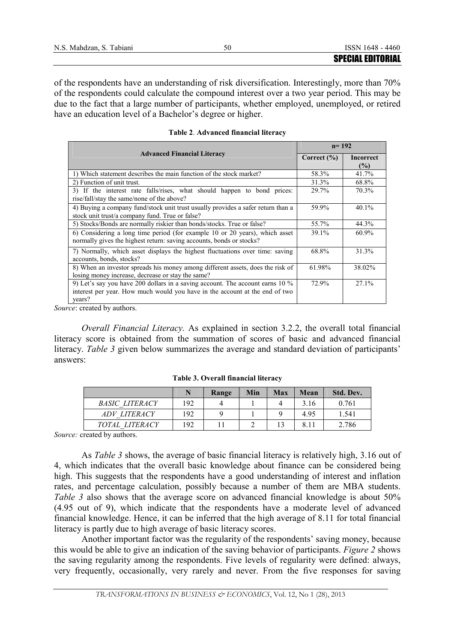of the respondents have an understanding of risk diversification. Interestingly, more than 70% of the respondents could calculate the compound interest over a two year period. This may be due to the fact that a large number of participants, whether employed, unemployed, or retired have an education level of a Bachelor's degree or higher.

|                                                                                  | $n = 192$       |                  |  |
|----------------------------------------------------------------------------------|-----------------|------------------|--|
| <b>Advanced Financial Literacy</b>                                               | Correct $(\% )$ | <b>Incorrect</b> |  |
|                                                                                  |                 | $\frac{6}{2}$    |  |
| 1) Which statement describes the main function of the stock market?              | 58.3%           | 41.7%            |  |
| 2) Function of unit trust.                                                       | 31.3%           | 68.8%            |  |
| 3) If the interest rate falls/rises, what should happen to bond prices:          | 29.7%           | 70.3%            |  |
| rise/fall/stay the same/none of the above?                                       |                 |                  |  |
| 4) Buying a company fund/stock unit trust usually provides a safer return than a | 59.9%           | $40.1\%$         |  |
| stock unit trust/a company fund. True or false?                                  |                 |                  |  |
| 5) Stocks/Bonds are normally riskier than bonds/stocks. True or false?           | 55.7%           | 44.3%            |  |
| 6) Considering a long time period (for example 10 or 20 years), which asset      | 39.1%           | $60.9\%$         |  |
| normally gives the highest return: saving accounts, bonds or stocks?             |                 |                  |  |
| 7) Normally, which asset displays the highest fluctuations over time: saving     | 68.8%           | 31.3%            |  |
| accounts, bonds, stocks?                                                         |                 |                  |  |
| 8) When an investor spreads his money among different assets, does the risk of   | 61.98%          | 38.02%           |  |
| losing money increase, decrease or stay the same?                                |                 |                  |  |
| 9) Let's say you have 200 dollars in a saving account. The account earns 10 %    | 72.9%           | $27.1\%$         |  |
| interest per year. How much would you have in the account at the end of two      |                 |                  |  |
| years?                                                                           |                 |                  |  |

**Table 2**. **Advanced financial literacy** 

*Source*: created by authors.

*Overall Financial Literacy.* As explained in section 3.2.2, the overall total financial literacy score is obtained from the summation of scores of basic and advanced financial literacy. *Table 3* given below summarizes the average and standard deviation of participants' answers:

|                       | N   | Range | Min | Max | Mean | Std. Dev. |
|-----------------------|-----|-------|-----|-----|------|-----------|
| <b>BASIC LITERACY</b> | 192 |       |     |     | 3.16 | 0.761     |
| ADV LITERACY          | 192 |       |     |     | 4.95 | 1.541     |
| TOTAL LITERACY        | 192 |       |     | 13  | 8.11 | 2.786     |

**Table 3. Overall financial literacy** 

Source: created by authors.

As *Table 3* shows, the average of basic financial literacy is relatively high, 3.16 out of 4, which indicates that the overall basic knowledge about finance can be considered being high. This suggests that the respondents have a good understanding of interest and inflation rates, and percentage calculation, possibly because a number of them are MBA students. *Table 3* also shows that the average score on advanced financial knowledge is about 50% (4.95 out of 9), which indicate that the respondents have a moderate level of advanced financial knowledge. Hence, it can be inferred that the high average of 8.11 for total financial literacy is partly due to high average of basic literacy scores.

Another important factor was the regularity of the respondents' saving money, because this would be able to give an indication of the saving behavior of participants. *Figure 2* shows the saving regularity among the respondents. Five levels of regularity were defined: always, very frequently, occasionally, very rarely and never. From the five responses for saving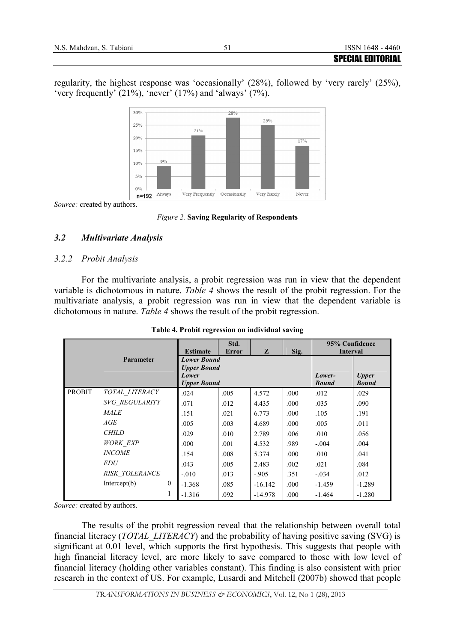regularity, the highest response was 'occasionally' (28%), followed by 'very rarely' (25%), 'very frequently' (21%), 'never' (17%) and 'always' (7%).



*Source:* created by authors.

*Figure 2.* **Saving Regularity of Respondents**

# *3.2 Multivariate Analysis*

# *3.2.2 Probit Analysis*

For the multivariate analysis, a probit regression was run in view that the dependent variable is dichotomous in nature. *Table 4* shows the result of the probit regression. For the multivariate analysis, a probit regression was run in view that the dependent variable is dichotomous in nature. *Table 4* shows the result of the probit regression.

|               |                       |              |                    | Std.         |           |      | 95% Confidence  |              |
|---------------|-----------------------|--------------|--------------------|--------------|-----------|------|-----------------|--------------|
|               |                       |              | <b>Estimate</b>    | <b>Error</b> | Z         | Sig. | <b>Interval</b> |              |
|               | Parameter             |              | <b>Lower Bound</b> |              |           |      |                 |              |
|               |                       |              | <b>Upper Bound</b> |              |           |      |                 |              |
|               |                       |              | Lower              |              |           |      | Lower-          | <b>Upper</b> |
|               |                       |              | <b>Upper Bound</b> |              |           |      | <b>Bound</b>    | <b>Bound</b> |
| <b>PROBIT</b> | TOTAL LITERACY        |              | .024               | .005         | 4.572     | .000 | .012            | .029         |
|               | <b>SVG REGULARITY</b> |              | .071               | .012         | 4.435     | .000 | .035            | .090         |
|               | <b>MALE</b>           |              | .151               | .021         | 6.773     | .000 | .105            | .191         |
|               | AGE                   |              | .005               | .003         | 4.689     | .000 | .005            | .011         |
|               | <b>CHILD</b>          |              | .029               | .010         | 2.789     | .006 | .010            | .056         |
|               | <b>WORK EXP</b>       |              | .000               | .001         | 4.532     | .989 | $-.004$         | .004         |
|               | <b>INCOME</b>         |              | .154               | .008         | 5.374     | .000 | .010            | .041         |
|               | <i>EDU</i>            |              | .043               | .005         | 2.483     | .002 | .021            | .084         |
|               | <b>RISK TOLERANCE</b> |              | $-.010$            | .013         | $-905$    | .351 | $-.034$         | .012         |
|               | Intercept $(b)$       | $\mathbf{0}$ | $-1.368$           | .085         | $-16.142$ | .000 | $-1.459$        | $-1.289$     |
|               |                       | 1            | $-1.316$           | .092         | $-14.978$ | .000 | $-1.464$        | $-1.280$     |

**Table 4. Probit regression on individual saving** 

*Source:* created by authors.

The results of the probit regression reveal that the relationship between overall total financial literacy (*TOTAL\_LITERACY*) and the probability of having positive saving (SVG) is significant at 0.01 level, which supports the first hypothesis. This suggests that people with high financial literacy level, are more likely to save compared to those with low level of financial literacy (holding other variables constant). This finding is also consistent with prior research in the context of US. For example, Lusardi and Mitchell (2007b) showed that people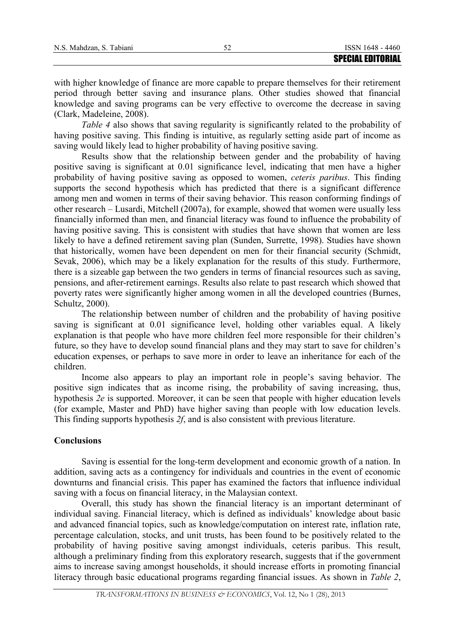with higher knowledge of finance are more capable to prepare themselves for their retirement period through better saving and insurance plans. Other studies showed that financial knowledge and saving programs can be very effective to overcome the decrease in saving (Clark, Madeleine, 2008).

*Table 4* also shows that saving regularity is significantly related to the probability of having positive saving. This finding is intuitive, as regularly setting aside part of income as saving would likely lead to higher probability of having positive saving.

Results show that the relationship between gender and the probability of having positive saving is significant at 0.01 significance level, indicating that men have a higher probability of having positive saving as opposed to women, *ceteris paribus*. This finding supports the second hypothesis which has predicted that there is a significant difference among men and women in terms of their saving behavior. This reason conforming findings of other research – Lusardi, Mitchell (2007a), for example, showed that women were usually less financially informed than men, and financial literacy was found to influence the probability of having positive saving. This is consistent with studies that have shown that women are less likely to have a defined retirement saving plan (Sunden, Surrette, 1998). Studies have shown that historically, women have been dependent on men for their financial security (Schmidt, Sevak, 2006), which may be a likely explanation for the results of this study. Furthermore, there is a sizeable gap between the two genders in terms of financial resources such as saving, pensions, and after-retirement earnings. Results also relate to past research which showed that poverty rates were significantly higher among women in all the developed countries (Burnes, Schultz, 2000).

The relationship between number of children and the probability of having positive saving is significant at 0.01 significance level, holding other variables equal. A likely explanation is that people who have more children feel more responsible for their children's future, so they have to develop sound financial plans and they may start to save for children's education expenses, or perhaps to save more in order to leave an inheritance for each of the children.

Income also appears to play an important role in people's saving behavior. The positive sign indicates that as income rising, the probability of saving increasing, thus, hypothesis *2e* is supported. Moreover, it can be seen that people with higher education levels (for example, Master and PhD) have higher saving than people with low education levels. This finding supports hypothesis *2f*, and is also consistent with previous literature.

#### **Conclusions**

Saving is essential for the long-term development and economic growth of a nation. In addition, saving acts as a contingency for individuals and countries in the event of economic downturns and financial crisis. This paper has examined the factors that influence individual saving with a focus on financial literacy, in the Malaysian context.

Overall, this study has shown the financial literacy is an important determinant of individual saving. Financial literacy, which is defined as individuals' knowledge about basic and advanced financial topics, such as knowledge/computation on interest rate, inflation rate, percentage calculation, stocks, and unit trusts, has been found to be positively related to the probability of having positive saving amongst individuals, ceteris paribus. This result, although a preliminary finding from this exploratory research, suggests that if the government aims to increase saving amongst households, it should increase efforts in promoting financial literacy through basic educational programs regarding financial issues. As shown in *Table 2*,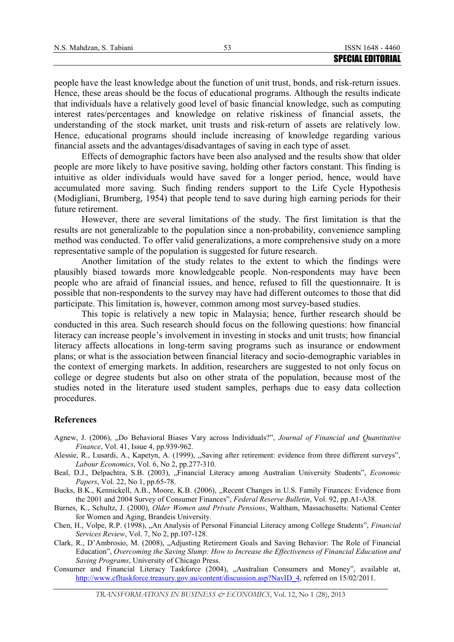people have the least knowledge about the function of unit trust, bonds, and risk-return issues. Hence, these areas should be the focus of educational programs. Although the results indicate that individuals have a relatively good level of basic financial knowledge, such as computing interest rates/percentages and knowledge on relative riskiness of financial assets, the understanding of the stock market, unit trusts and risk-return of assets are relatively low. Hence, educational programs should include increasing of knowledge regarding various financial assets and the advantages/disadvantages of saving in each type of asset.

Effects of demographic factors have been also analysed and the results show that older people are more likely to have positive saving, holding other factors constant. This finding is intuitive as older individuals would have saved for a longer period, hence, would have accumulated more saving. Such finding renders support to the Life Cycle Hypothesis (Modigliani, Brumberg, 1954) that people tend to save during high earning periods for their future retirement.

However, there are several limitations of the study. The first limitation is that the results are not generalizable to the population since a non-probability, convenience sampling method was conducted. To offer valid generalizations, a more comprehensive study on a more representative sample of the population is suggested for future research.

Another limitation of the study relates to the extent to which the findings were plausibly biased towards more knowledgeable people. Non-respondents may have been people who are afraid of financial issues, and hence, refused to fill the questionnaire. It is possible that non-respondents to the survey may have had different outcomes to those that did participate. This limitation is, however, common among most survey-based studies.

This topic is relatively a new topic in Malaysia; hence, further research should be conducted in this area. Such research should focus on the following questions: how financial literacy can increase people's involvement in investing in stocks and unit trusts; how financial literacy affects allocations in long-term saving programs such as insurance or endowment plans; or what is the association between financial literacy and socio-demographic variables in the context of emerging markets. In addition, researchers are suggested to not only focus on college or degree students but also on other strata of the population, because most of the studies noted in the literature used student samples, perhaps due to easy data collection procedures.

#### **References**

- Agnew, J. (2006), "Do Behavioral Biases Vary across Individuals?", *Journal of Financial and Quantitative Finance*, Vol. 41, Issue 4, pp.939-962.
- Alessie, R., Lusardi, A., Kapetyn, A. (1999), ,,Saving after retirement: evidence from three different surveys", *Labour Economics*, Vol. 6, No 2, pp.277-310.
- Beal, D.J., Delpachtra, S.B. (2003), "Financial Literacy among Australian University Students", *Economic Papers*, Vol. 22, No 1, pp.65-78.
- Bucks, B.K., Kennickell, A.B., Moore, K.B. (2006), ,,Recent Changes in U.S. Family Finances: Evidence from the 2001 and 2004 Survey of Consumer Finances", *Federal Reserve Bulletin*, Vol. 92, pp.A1-A38.
- Burnes, K., Schultz, J. (2000), *Older Women and Private Pensions*, Waltham, Massachusetts: National Center for Women and Aging, Brandeis University.
- Chen, H., Volpe, R.P. (1998), "An Analysis of Personal Financial Literacy among College Students", *Financial Services Review*, Vol. 7, No 2, pp.107-128.
- Clark, R., D'Ambrosio, M. (2008), "Adjusting Retirement Goals and Saving Behavior: The Role of Financial Education", *Overcoming the Saving Slump: How to Increase the Effectiveness of Financial Education and Saving Programs*, University of Chicago Press.
- Consumer and Financial Literacy Taskforce (2004), "Australian Consumers and Money", available at, [http://www.cfltaskforce.treasury.gov.au/content/discussion.asp?NavID\\_4,](http://www.cfltaskforce.treasury.gov.au/content/discussion.asp?NavID_4) referred on 15/02/2011.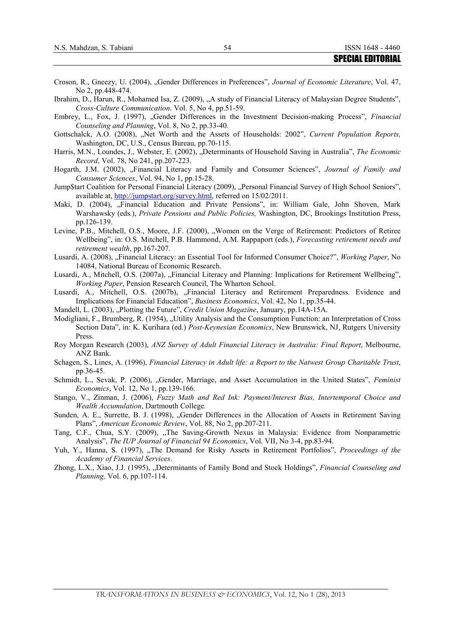|                                                                                                              | ƏFLUIAL LUI LUKIAL |  |
|--------------------------------------------------------------------------------------------------------------|--------------------|--|
|                                                                                                              |                    |  |
| Croson, R., Gneezy, U. (2004), "Gender Differences in Preferences", Journal of Economic Literature, Vol. 47, |                    |  |

- No 2, pp.448-474. Ibrahim, D., Harun, R., Mohamed Isa, Z. (2009), "A study of Financial Literacy of Malaysian Degree Students", *Cross-Culture Communication*. Vol. 5, No 4, pp.51-59.
- Embrey, L., Fox, J. (1997), "Gender Differences in the Investment Decision-making Process", *Financial Counseling and Planning*, Vol. 8, No 2, pp.33-40.
- Gottschalck, A.O. (2008), "Net Worth and the Assets of Households: 2002", *Current Population Reports*, Washington, DC, U.S., Census Bureau, pp.70-115.
- Harris, M.N., Loundes, J., Webster, E. (2002), "Determinants of Household Saving in Australia", *The Economic Record*, Vol. 78, No 241, pp.207-223.
- Hogarth, J.M. (2002), "Financial Literacy and Family and Consumer Sciences", *Journal of Family and Consumer Sciences*, Vol. 94, No 1, pp.15-28.
- Jump\$tart Coalition for Personal Financial Literacy (2009), "Personal Financial Survey of High School Seniors", available at, [http://jumpstart.org/survey.html,](http://jumpstart.org/survey.html) referred on 15/02/2011.
- Maki, D. (2004), "Financial Education and Private Pensions", in: William Gale, John Shoven, Mark Warshawsky (eds.), *Private Pensions and Public Policies,* Washington, DC, Brookings Institution Press, pp.126-139.
- Levine, P.B., Mitchell, O.S., Moore, J.F. (2000), "Women on the Verge of Retirement: Predictors of Retiree Wellbeing", in: O.S. Mitchell, P.B. Hammond, A.M. Rappaport (eds.), *Forecasting retirement needs and retirement wealth*, pp.167-207.
- Lusardi, A. (2008), "Financial Literacy: an Essential Tool for Informed Consumer Choice?", *Working Paper*, No 14084, National Bureau of Economic Research.
- Lusardi, A., Mitchell, O.S. (2007a), "Financial Literacy and Planning: Implications for Retirement Wellbeing", *Working Paper*, Pension Research Council, The Wharton School.
- Lusardi, A., Mitchell, O.S. (2007b), "Financial Literacy and Retirement Preparedness. Evidence and Implications for Financial Education", *Business Economics*, Vol. 42, No 1, pp.35-44.
- Mandell, L. (2003), "Plotting the Future", *Credit Union Magazine*, January, pp.14A-15A.
- Modigliani, F., Brumberg, R. (1954), "Utility Analysis and the Consumption Function: an Interpretation of Cross Section Data", in: K. Kurihara (ed.) *Post-Keynesian Economics*, New Brunswick, NJ, Rutgers University Press.
- Roy Morgan Research (2003), *ANZ Survey of Adult Financial Literacy in Australia: Final Report*, Melbourne, ANZ Bank.
- Schagen, S., Lines, A. (1996), *Financial Literacy in Adult life: a Report to the Natwest Group Charitable Trust*, pp.36-45.
- Schmidt, L., Sevak, P. (2006), "Gender, Marriage, and Asset Accumulation in the United States", *Feminist Economics*, Vol. 12, No 1, pp.139-166.
- Stango, V., Zinman, J. (2006), *Fuzzy Math and Red Ink: Payment/Interest Bias, Intertemporal Choice and Wealth Accumulation*, Dartmouth College.
- Sunden, A. E., Surrette, B. J. (1998), "Gender Differences in the Allocation of Assets in Retirement Saving Plans", *American Economic Review*, Vol. 88, No 2, pp.207-211.
- Tang, C.F., Chua, S.Y. (2009), "The Saving-Growth Nexus in Malaysia: Evidence from Nonparametric Analysis", *The IUP Journal of Financial 94 Economics*, Vol. VII, No 3-4, pp.83-94.
- Yuh, Y., Hanna, S. (1997), "The Demand for Risky Assets in Retirement Portfolios", *Proceedings of the Academy of Financial Services*.
- Zhong, L.X., Xiao, J.J. (1995), "Determinants of Family Bond and Stock Holdings", *Financial Counseling and Planning,* Vol. 6, pp.107-114.